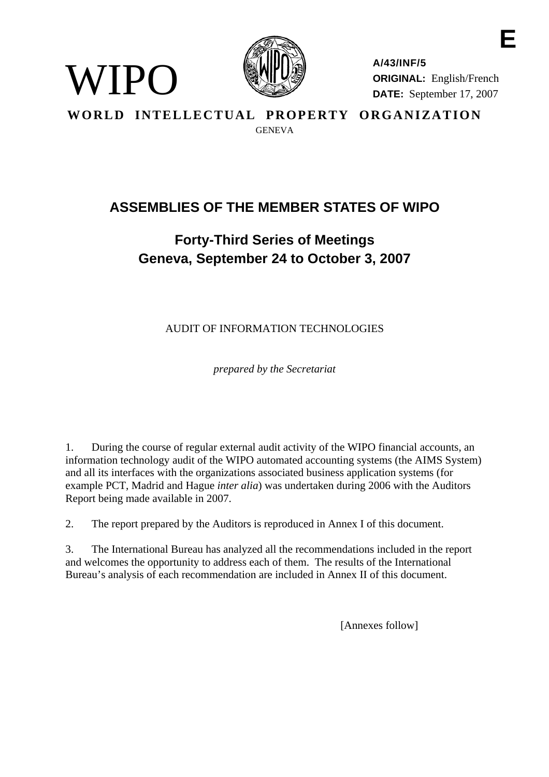

WIPO

**A/43/INF/5 ORIGINAL:** English/French **DATE:** September 17, 2007

**E** 

**WORLD INTELLECTUAL PROPERTY ORGANIZATION GENEVA** 

# **ASSEMBLIES OF THE MEMBER STATES OF WIPO**

# **Forty-Third Series of Meetings Geneva, September 24 to October 3, 2007**

AUDIT OF INFORMATION TECHNOLOGIES

*prepared by the Secretariat* 

1. During the course of regular external audit activity of the WIPO financial accounts, an information technology audit of the WIPO automated accounting systems (the AIMS System) and all its interfaces with the organizations associated business application systems (for example PCT, Madrid and Hague *inter alia*) was undertaken during 2006 with the Auditors Report being made available in 2007.

2. The report prepared by the Auditors is reproduced in Annex I of this document.

3. The International Bureau has analyzed all the recommendations included in the report and welcomes the opportunity to address each of them. The results of the International Bureau's analysis of each recommendation are included in Annex II of this document.

[Annexes follow]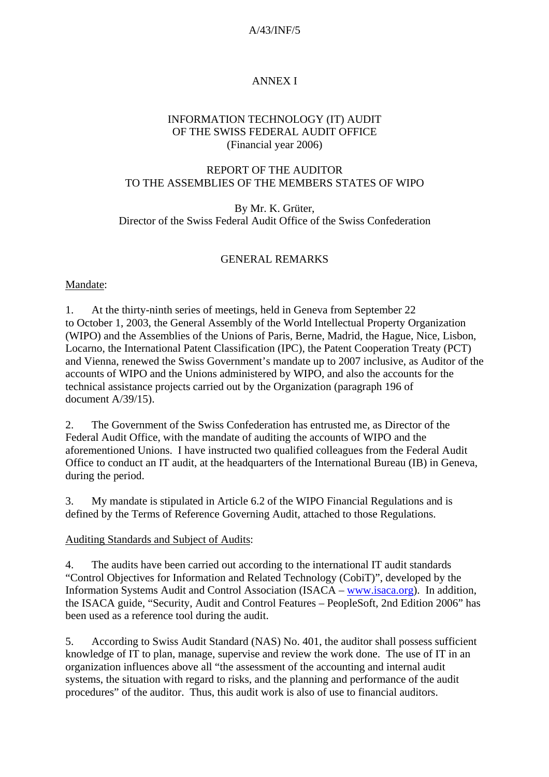## A/43/INF/5

# ANNEX I

#### INFORMATION TECHNOLOGY (IT) AUDIT OF THE SWISS FEDERAL AUDIT OFFICE (Financial year 2006)

## REPORT OF THE AUDITOR TO THE ASSEMBLIES OF THE MEMBERS STATES OF WIPO

By Mr. K. Grüter, Director of the Swiss Federal Audit Office of the Swiss Confederation

## GENERAL REMARKS

#### Mandate:

1. At the thirty-ninth series of meetings, held in Geneva from September 22 to October 1, 2003, the General Assembly of the World Intellectual Property Organization (WIPO) and the Assemblies of the Unions of Paris, Berne, Madrid, the Hague, Nice, Lisbon, Locarno, the International Patent Classification (IPC), the Patent Cooperation Treaty (PCT) and Vienna, renewed the Swiss Government's mandate up to 2007 inclusive, as Auditor of the accounts of WIPO and the Unions administered by WIPO, and also the accounts for the technical assistance projects carried out by the Organization (paragraph 196 of document A/39/15).

2. The Government of the Swiss Confederation has entrusted me, as Director of the Federal Audit Office, with the mandate of auditing the accounts of WIPO and the aforementioned Unions. I have instructed two qualified colleagues from the Federal Audit Office to conduct an IT audit, at the headquarters of the International Bureau (IB) in Geneva, during the period.

3. My mandate is stipulated in Article 6.2 of the WIPO Financial Regulations and is defined by the Terms of Reference Governing Audit, attached to those Regulations.

#### Auditing Standards and Subject of Audits:

4. The audits have been carried out according to the international IT audit standards "Control Objectives for Information and Related Technology (CobiT)", developed by the Information Systems Audit and Control Association (ISACA – [www.isaca.org](http://www.isaca.org/)). In addition, the ISACA guide, "Security, Audit and Control Features – PeopleSoft, 2nd Edition 2006" has been used as a reference tool during the audit.

5. According to Swiss Audit Standard (NAS) No. 401, the auditor shall possess sufficient knowledge of IT to plan, manage, supervise and review the work done. The use of IT in an organization influences above all "the assessment of the accounting and internal audit systems, the situation with regard to risks, and the planning and performance of the audit procedures" of the auditor. Thus, this audit work is also of use to financial auditors.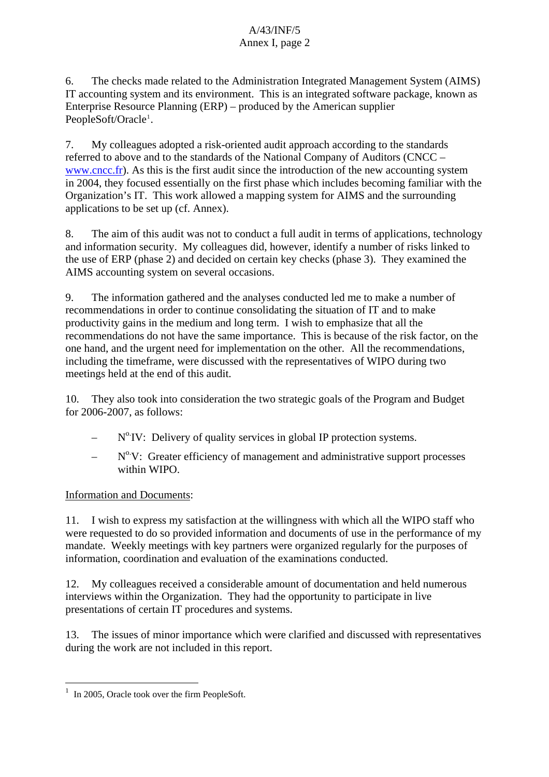6. The checks made related to the Administration Integrated Management System (AIMS) IT accounting system and its environment. This is an integrated software package, known as Enterprise Resource Planning (ERP) – produced by the American supplier PeopleSoft/Oracle<sup>[1](#page-2-0)</sup>.

7. My colleagues adopted a risk-oriented audit approach according to the standards referred to above and to the standards of the National Company of Auditors (CNCC – [www.cncc.fr\)](http://www.cncc.fr). As this is the first audit since the introduction of the new accounting system in 2004, they focused essentially on the first phase which includes becoming familiar with the Organization's IT. This work allowed a mapping system for AIMS and the surrounding applications to be set up (cf. Annex).

8. The aim of this audit was not to conduct a full audit in terms of applications, technology and information security. My colleagues did, however, identify a number of risks linked to the use of ERP (phase 2) and decided on certain key checks (phase 3). They examined the AIMS accounting system on several occasions.

9. The information gathered and the analyses conducted led me to make a number of recommendations in order to continue consolidating the situation of IT and to make productivity gains in the medium and long term. I wish to emphasize that all the recommendations do not have the same importance. This is because of the risk factor, on the one hand, and the urgent need for implementation on the other. All the recommendations, including the timeframe, were discussed with the representatives of WIPO during two meetings held at the end of this audit.

10. They also took into consideration the two strategic goals of the Program and Budget for 2006-2007, as follows:

- $N^{\circ}$  IV: Delivery of quality services in global IP protection systems.
- $N^0$ .V: Greater efficiency of management and administrative support processes within WIPO.

## Information and Documents:

11. I wish to express my satisfaction at the willingness with which all the WIPO staff who were requested to do so provided information and documents of use in the performance of my mandate. Weekly meetings with key partners were organized regularly for the purposes of information, coordination and evaluation of the examinations conducted.

12. My colleagues received a considerable amount of documentation and held numerous interviews within the Organization. They had the opportunity to participate in live presentations of certain IT procedures and systems.

13. The issues of minor importance which were clarified and discussed with representatives during the work are not included in this report.

 $\overline{a}$ 

<span id="page-2-0"></span><sup>&</sup>lt;sup>1</sup> In 2005, Oracle took over the firm PeopleSoft.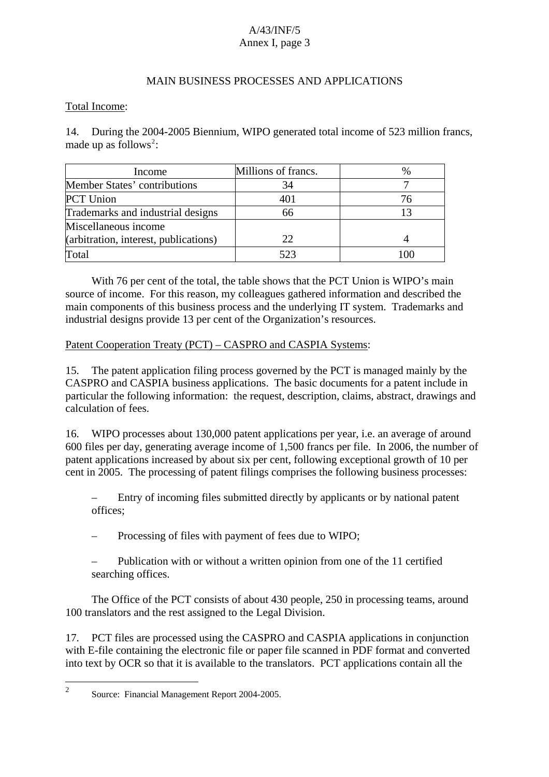#### MAIN BUSINESS PROCESSES AND APPLICATIONS

#### Total Income:

14. During the 2004-2005 Biennium, WIPO generated total income of 523 million francs, made up as follows<sup>[2](#page-3-0)</sup>:

| Income                                | Millions of francs. |  |
|---------------------------------------|---------------------|--|
| Member States' contributions          | 34                  |  |
| PCT Union                             | 401                 |  |
| Trademarks and industrial designs     | 66                  |  |
| Miscellaneous income                  |                     |  |
| (arbitration, interest, publications) | 22.                 |  |
| Total                                 | 523                 |  |

With 76 per cent of the total, the table shows that the PCT Union is WIPO's main source of income. For this reason, my colleagues gathered information and described the main components of this business process and the underlying IT system. Trademarks and industrial designs provide 13 per cent of the Organization's resources.

#### Patent Cooperation Treaty (PCT) – CASPRO and CASPIA Systems:

15. The patent application filing process governed by the PCT is managed mainly by the CASPRO and CASPIA business applications. The basic documents for a patent include in particular the following information: the request, description, claims, abstract, drawings and calculation of fees.

16. WIPO processes about 130,000 patent applications per year, i.e. an average of around 600 files per day, generating average income of 1,500 francs per file. In 2006, the number of patent applications increased by about six per cent, following exceptional growth of 10 per cent in 2005. The processing of patent filings comprises the following business processes:

– Entry of incoming files submitted directly by applicants or by national patent offices;

– Processing of files with payment of fees due to WIPO;

– Publication with or without a written opinion from one of the 11 certified searching offices.

 The Office of the PCT consists of about 430 people, 250 in processing teams, around 100 translators and the rest assigned to the Legal Division.

17. PCT files are processed using the CASPRO and CASPIA applications in conjunction with E-file containing the electronic file or paper file scanned in PDF format and converted into text by OCR so that it is available to the translators. PCT applications contain all the

<span id="page-3-0"></span> $\frac{1}{2}$ Source: Financial Management Report 2004-2005.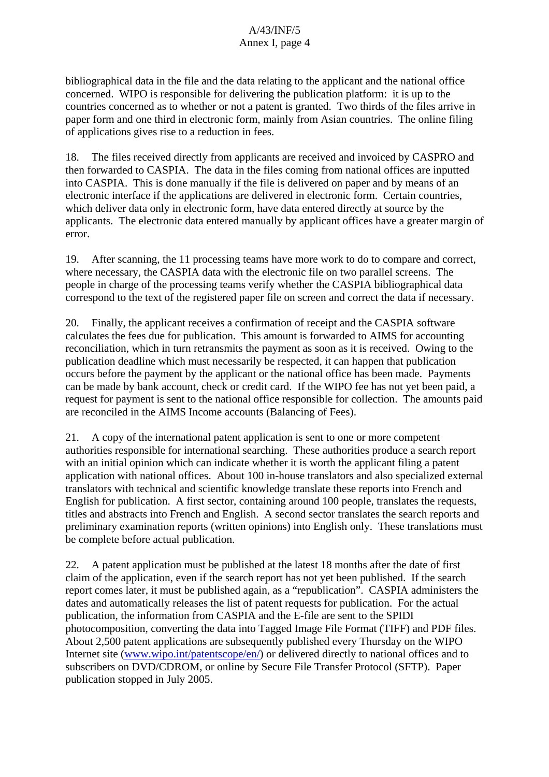bibliographical data in the file and the data relating to the applicant and the national office concerned. WIPO is responsible for delivering the publication platform: it is up to the countries concerned as to whether or not a patent is granted. Two thirds of the files arrive in paper form and one third in electronic form, mainly from Asian countries. The online filing of applications gives rise to a reduction in fees.

18. The files received directly from applicants are received and invoiced by CASPRO and then forwarded to CASPIA. The data in the files coming from national offices are inputted into CASPIA. This is done manually if the file is delivered on paper and by means of an electronic interface if the applications are delivered in electronic form. Certain countries, which deliver data only in electronic form, have data entered directly at source by the applicants. The electronic data entered manually by applicant offices have a greater margin of error.

19. After scanning, the 11 processing teams have more work to do to compare and correct, where necessary, the CASPIA data with the electronic file on two parallel screens. The people in charge of the processing teams verify whether the CASPIA bibliographical data correspond to the text of the registered paper file on screen and correct the data if necessary.

20. Finally, the applicant receives a confirmation of receipt and the CASPIA software calculates the fees due for publication. This amount is forwarded to AIMS for accounting reconciliation, which in turn retransmits the payment as soon as it is received. Owing to the publication deadline which must necessarily be respected, it can happen that publication occurs before the payment by the applicant or the national office has been made. Payments can be made by bank account, check or credit card. If the WIPO fee has not yet been paid, a request for payment is sent to the national office responsible for collection. The amounts paid are reconciled in the AIMS Income accounts (Balancing of Fees).

21. A copy of the international patent application is sent to one or more competent authorities responsible for international searching. These authorities produce a search report with an initial opinion which can indicate whether it is worth the applicant filing a patent application with national offices. About 100 in-house translators and also specialized external translators with technical and scientific knowledge translate these reports into French and English for publication. A first sector, containing around 100 people, translates the requests, titles and abstracts into French and English. A second sector translates the search reports and preliminary examination reports (written opinions) into English only. These translations must be complete before actual publication.

22. A patent application must be published at the latest 18 months after the date of first claim of the application, even if the search report has not yet been published. If the search report comes later, it must be published again, as a "republication". CASPIA administers the dates and automatically releases the list of patent requests for publication. For the actual publication, the information from CASPIA and the E-file are sent to the SPIDI photocomposition, converting the data into Tagged Image File Format (TIFF) and PDF files. About 2,500 patent applications are subsequently published every Thursday on the WIPO Internet site ([www.wipo.int/patentscope/en/\)](http://www.wipo.int/patentscope/en/) or delivered directly to national offices and to subscribers on DVD/CDROM, or online by Secure File Transfer Protocol (SFTP). Paper publication stopped in July 2005.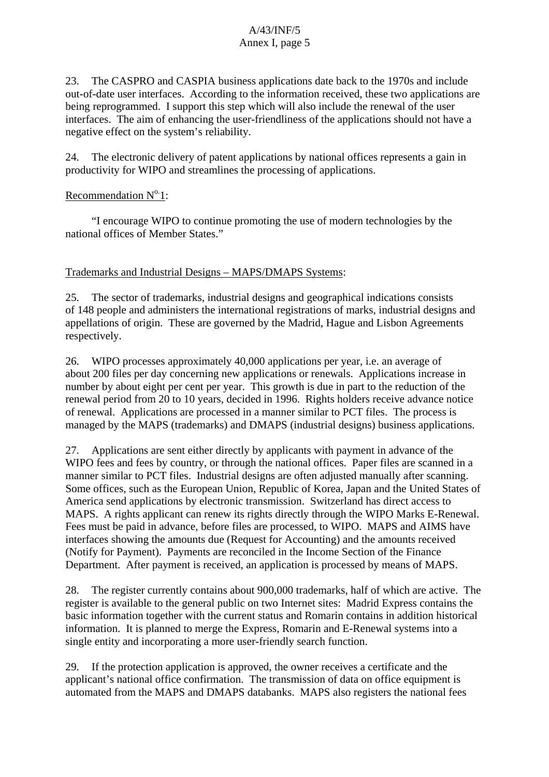23. The CASPRO and CASPIA business applications date back to the 1970s and include out-of-date user interfaces. According to the information received, these two applications are being reprogrammed. I support this step which will also include the renewal of the user interfaces. The aim of enhancing the user-friendliness of the applications should not have a negative effect on the system's reliability.

24. The electronic delivery of patent applications by national offices represents a gain in productivity for WIPO and streamlines the processing of applications.

#### Recommendation  $N^0$  1:

"I encourage WIPO to continue promoting the use of modern technologies by the national offices of Member States."

#### Trademarks and Industrial Designs – MAPS/DMAPS Systems:

25. The sector of trademarks, industrial designs and geographical indications consists of 148 people and administers the international registrations of marks, industrial designs and appellations of origin. These are governed by the Madrid, Hague and Lisbon Agreements respectively.

26. WIPO processes approximately 40,000 applications per year, i.e. an average of about 200 files per day concerning new applications or renewals. Applications increase in number by about eight per cent per year. This growth is due in part to the reduction of the renewal period from 20 to 10 years, decided in 1996. Rights holders receive advance notice of renewal. Applications are processed in a manner similar to PCT files. The process is managed by the MAPS (trademarks) and DMAPS (industrial designs) business applications.

27. Applications are sent either directly by applicants with payment in advance of the WIPO fees and fees by country, or through the national offices. Paper files are scanned in a manner similar to PCT files. Industrial designs are often adjusted manually after scanning. Some offices, such as the European Union, Republic of Korea, Japan and the United States of America send applications by electronic transmission. Switzerland has direct access to MAPS. A rights applicant can renew its rights directly through the WIPO Marks E-Renewal. Fees must be paid in advance, before files are processed, to WIPO. MAPS and AIMS have interfaces showing the amounts due (Request for Accounting) and the amounts received (Notify for Payment). Payments are reconciled in the Income Section of the Finance Department. After payment is received, an application is processed by means of MAPS.

28. The register currently contains about 900,000 trademarks, half of which are active. The register is available to the general public on two Internet sites: Madrid Express contains the basic information together with the current status and Romarin contains in addition historical information. It is planned to merge the Express, Romarin and E-Renewal systems into a single entity and incorporating a more user-friendly search function.

29. If the protection application is approved, the owner receives a certificate and the applicant's national office confirmation. The transmission of data on office equipment is automated from the MAPS and DMAPS databanks. MAPS also registers the national fees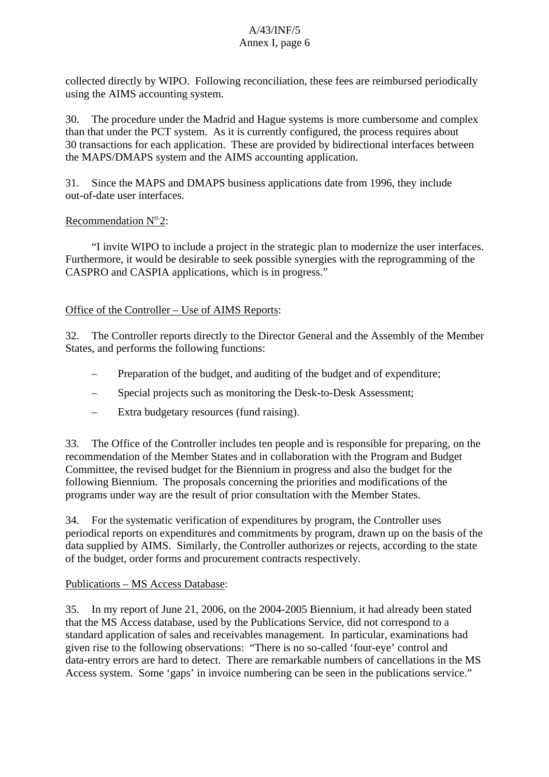collected directly by WIPO. Following reconciliation, these fees are reimbursed periodically using the AIMS accounting system.

30. The procedure under the Madrid and Hague systems is more cumbersome and complex than that under the PCT system. As it is currently configured, the process requires about 30 transactions for each application. These are provided by bidirectional interfaces between the MAPS/DMAPS system and the AIMS accounting application.

31. Since the MAPS and DMAPS business applications date from 1996, they include out-of-date user interfaces.

#### Recommendation  $N^0$ <sup>2</sup>:

"I invite WIPO to include a project in the strategic plan to modernize the user interfaces. Furthermore, it would be desirable to seek possible synergies with the reprogramming of the CASPRO and CASPIA applications, which is in progress."

## Office of the Controller – Use of AIMS Reports:

32. The Controller reports directly to the Director General and the Assembly of the Member States, and performs the following functions:

- Preparation of the budget, and auditing of the budget and of expenditure;
- Special projects such as monitoring the Desk-to-Desk Assessment;
- Extra budgetary resources (fund raising).

33. The Office of the Controller includes ten people and is responsible for preparing, on the recommendation of the Member States and in collaboration with the Program and Budget Committee, the revised budget for the Biennium in progress and also the budget for the following Biennium. The proposals concerning the priorities and modifications of the programs under way are the result of prior consultation with the Member States.

34. For the systematic verification of expenditures by program, the Controller uses periodical reports on expenditures and commitments by program, drawn up on the basis of the data supplied by AIMS. Similarly, the Controller authorizes or rejects, according to the state of the budget, order forms and procurement contracts respectively.

#### Publications – MS Access Database:

35. In my report of June 21, 2006, on the 2004-2005 Biennium, it had already been stated that the MS Access database, used by the Publications Service, did not correspond to a standard application of sales and receivables management. In particular, examinations had given rise to the following observations: "There is no so-called 'four-eye' control and data-entry errors are hard to detect. There are remarkable numbers of cancellations in the MS Access system. Some 'gaps' in invoice numbering can be seen in the publications service."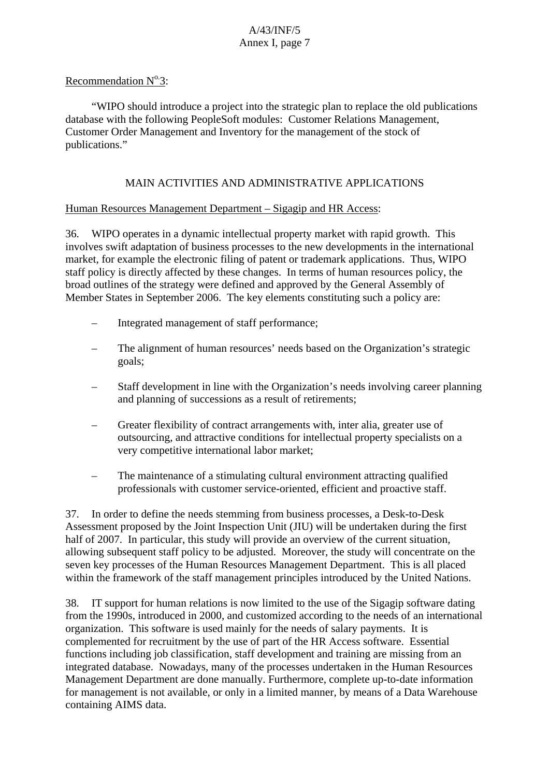#### Recommendation  $N^0$ 3:

"WIPO should introduce a project into the strategic plan to replace the old publications database with the following PeopleSoft modules: Customer Relations Management, Customer Order Management and Inventory for the management of the stock of publications."

## MAIN ACTIVITIES AND ADMINISTRATIVE APPLICATIONS

#### Human Resources Management Department – Sigagip and HR Access:

36. WIPO operates in a dynamic intellectual property market with rapid growth. This involves swift adaptation of business processes to the new developments in the international market, for example the electronic filing of patent or trademark applications. Thus, WIPO staff policy is directly affected by these changes. In terms of human resources policy, the broad outlines of the strategy were defined and approved by the General Assembly of Member States in September 2006. The key elements constituting such a policy are:

- Integrated management of staff performance;
- The alignment of human resources' needs based on the Organization's strategic goals;
- Staff development in line with the Organization's needs involving career planning and planning of successions as a result of retirements;
- Greater flexibility of contract arrangements with, inter alia, greater use of outsourcing, and attractive conditions for intellectual property specialists on a very competitive international labor market;
- The maintenance of a stimulating cultural environment attracting qualified professionals with customer service-oriented, efficient and proactive staff.

37. In order to define the needs stemming from business processes, a Desk-to-Desk Assessment proposed by the Joint Inspection Unit (JIU) will be undertaken during the first half of 2007. In particular, this study will provide an overview of the current situation, allowing subsequent staff policy to be adjusted. Moreover, the study will concentrate on the seven key processes of the Human Resources Management Department. This is all placed within the framework of the staff management principles introduced by the United Nations.

38. IT support for human relations is now limited to the use of the Sigagip software dating from the 1990s, introduced in 2000, and customized according to the needs of an international organization. This software is used mainly for the needs of salary payments. It is complemented for recruitment by the use of part of the HR Access software. Essential functions including job classification, staff development and training are missing from an integrated database. Nowadays, many of the processes undertaken in the Human Resources Management Department are done manually. Furthermore, complete up-to-date information for management is not available, or only in a limited manner, by means of a Data Warehouse containing AIMS data.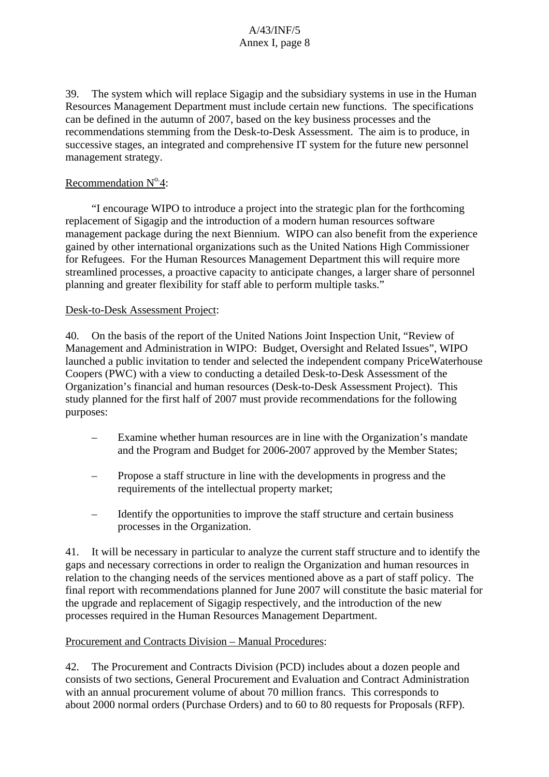39. The system which will replace Sigagip and the subsidiary systems in use in the Human Resources Management Department must include certain new functions. The specifications can be defined in the autumn of 2007, based on the key business processes and the recommendations stemming from the Desk-to-Desk Assessment. The aim is to produce, in successive stages, an integrated and comprehensive IT system for the future new personnel management strategy.

## Recommendation  $N^{\circ}4$ :

"I encourage WIPO to introduce a project into the strategic plan for the forthcoming replacement of Sigagip and the introduction of a modern human resources software management package during the next Biennium. WIPO can also benefit from the experience gained by other international organizations such as the United Nations High Commissioner for Refugees. For the Human Resources Management Department this will require more streamlined processes, a proactive capacity to anticipate changes, a larger share of personnel planning and greater flexibility for staff able to perform multiple tasks."

## Desk-to-Desk Assessment Project:

40. On the basis of the report of the United Nations Joint Inspection Unit, "Review of Management and Administration in WIPO: Budget, Oversight and Related Issues", WIPO launched a public invitation to tender and selected the independent company PriceWaterhouse Coopers (PWC) with a view to conducting a detailed Desk-to-Desk Assessment of the Organization's financial and human resources (Desk-to-Desk Assessment Project). This study planned for the first half of 2007 must provide recommendations for the following purposes:

- Examine whether human resources are in line with the Organization's mandate and the Program and Budget for 2006-2007 approved by the Member States;
- Propose a staff structure in line with the developments in progress and the requirements of the intellectual property market;
- Identify the opportunities to improve the staff structure and certain business processes in the Organization.

41. It will be necessary in particular to analyze the current staff structure and to identify the gaps and necessary corrections in order to realign the Organization and human resources in relation to the changing needs of the services mentioned above as a part of staff policy. The final report with recommendations planned for June 2007 will constitute the basic material for the upgrade and replacement of Sigagip respectively, and the introduction of the new processes required in the Human Resources Management Department.

## Procurement and Contracts Division – Manual Procedures:

42. The Procurement and Contracts Division (PCD) includes about a dozen people and consists of two sections, General Procurement and Evaluation and Contract Administration with an annual procurement volume of about 70 million francs. This corresponds to about 2000 normal orders (Purchase Orders) and to 60 to 80 requests for Proposals (RFP).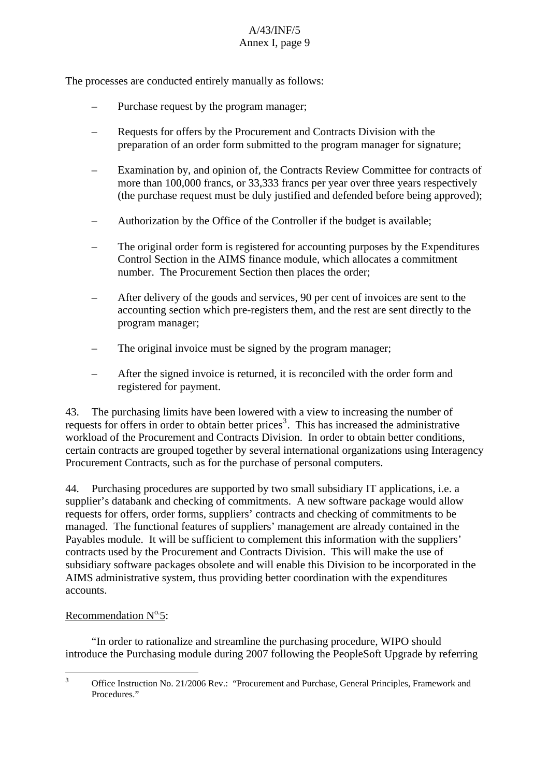The processes are conducted entirely manually as follows:

- Purchase request by the program manager;
- Requests for offers by the Procurement and Contracts Division with the preparation of an order form submitted to the program manager for signature;
- Examination by, and opinion of, the Contracts Review Committee for contracts of more than 100,000 francs, or 33,333 francs per year over three years respectively (the purchase request must be duly justified and defended before being approved);
- Authorization by the Office of the Controller if the budget is available;
- The original order form is registered for accounting purposes by the Expenditures Control Section in the AIMS finance module, which allocates a commitment number. The Procurement Section then places the order;
- After delivery of the goods and services, 90 per cent of invoices are sent to the accounting section which pre-registers them, and the rest are sent directly to the program manager;
- The original invoice must be signed by the program manager;
- After the signed invoice is returned, it is reconciled with the order form and registered for payment.

43. The purchasing limits have been lowered with a view to increasing the number of requests for offers in order to obtain better prices<sup>[3](#page-9-0)</sup>. This has increased the administrative workload of the Procurement and Contracts Division. In order to obtain better conditions, certain contracts are grouped together by several international organizations using Interagency Procurement Contracts, such as for the purchase of personal computers.

44. Purchasing procedures are supported by two small subsidiary IT applications, i.e. a supplier's databank and checking of commitments. A new software package would allow requests for offers, order forms, suppliers' contracts and checking of commitments to be managed. The functional features of suppliers' management are already contained in the Payables module. It will be sufficient to complement this information with the suppliers' contracts used by the Procurement and Contracts Division. This will make the use of subsidiary software packages obsolete and will enable this Division to be incorporated in the AIMS administrative system, thus providing better coordination with the expenditures accounts.

## Recommendation  $N^{\circ}$ 5:

"In order to rationalize and streamline the purchasing procedure, WIPO should introduce the Purchasing module during 2007 following the PeopleSoft Upgrade by referring

<span id="page-9-0"></span><sup>&</sup>lt;sup>2</sup><br>3 Office Instruction No. 21/2006 Rev.: "Procurement and Purchase, General Principles, Framework and Procedures."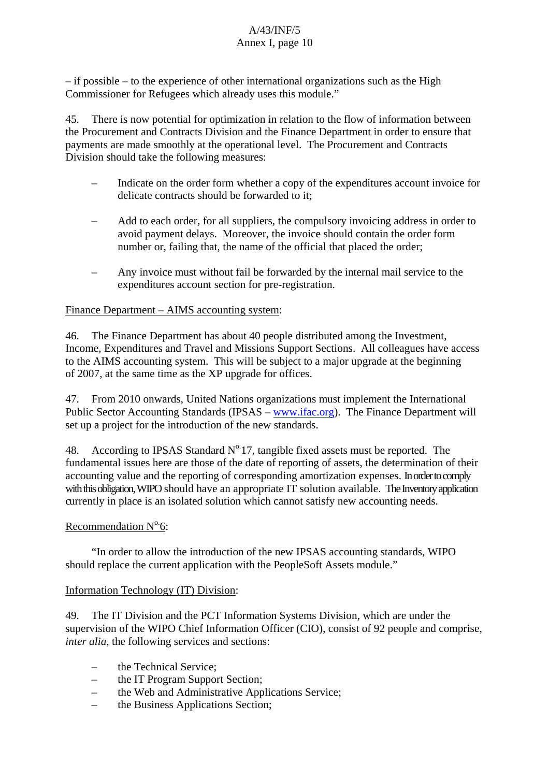– if possible – to the experience of other international organizations such as the High Commissioner for Refugees which already uses this module."

45. There is now potential for optimization in relation to the flow of information between the Procurement and Contracts Division and the Finance Department in order to ensure that payments are made smoothly at the operational level. The Procurement and Contracts Division should take the following measures:

- Indicate on the order form whether a copy of the expenditures account invoice for delicate contracts should be forwarded to it;
- Add to each order, for all suppliers, the compulsory invoicing address in order to avoid payment delays. Moreover, the invoice should contain the order form number or, failing that, the name of the official that placed the order;
- Any invoice must without fail be forwarded by the internal mail service to the expenditures account section for pre-registration.

## Finance Department – AIMS accounting system:

46. The Finance Department has about 40 people distributed among the Investment, Income, Expenditures and Travel and Missions Support Sections. All colleagues have access to the AIMS accounting system. This will be subject to a major upgrade at the beginning of 2007, at the same time as the XP upgrade for offices.

47. From 2010 onwards, United Nations organizations must implement the International Public Sector Accounting Standards (IPSAS – [www.ifac.org](http://www.ifac.org/)). The Finance Department will set up a project for the introduction of the new standards.

48. According to IPSAS Standard  $N^{\circ}$  17, tangible fixed assets must be reported. The fundamental issues here are those of the date of reporting of assets, the determination of their accounting value and the reporting of corresponding amortization expenses. In order to comply with this obligation, WIPO should have an appropriate IT solution available. The Inventory application currently in place is an isolated solution which cannot satisfy new accounting needs.

## Recommendation  $N^{\circ}$ 6:

"In order to allow the introduction of the new IPSAS accounting standards, WIPO should replace the current application with the PeopleSoft Assets module."

## Information Technology (IT) Division:

49. The IT Division and the PCT Information Systems Division, which are under the supervision of the WIPO Chief Information Officer (CIO), consist of 92 people and comprise, *inter alia*, the following services and sections:

- the Technical Service;
- the IT Program Support Section;
- the Web and Administrative Applications Service;
- the Business Applications Section;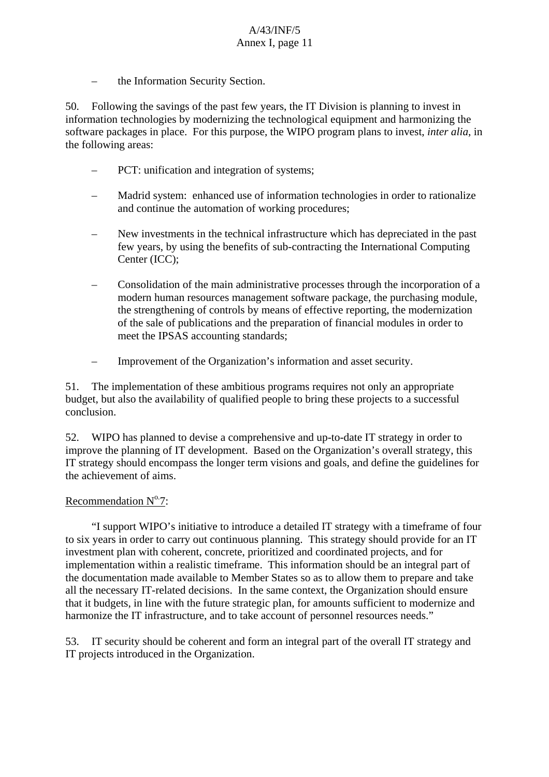the Information Security Section.

50. Following the savings of the past few years, the IT Division is planning to invest in information technologies by modernizing the technological equipment and harmonizing the software packages in place. For this purpose, the WIPO program plans to invest, *inter alia*, in the following areas:

- PCT: unification and integration of systems;
- Madrid system: enhanced use of information technologies in order to rationalize and continue the automation of working procedures;
- New investments in the technical infrastructure which has depreciated in the past few years, by using the benefits of sub-contracting the International Computing Center (ICC);
- Consolidation of the main administrative processes through the incorporation of a modern human resources management software package, the purchasing module, the strengthening of controls by means of effective reporting, the modernization of the sale of publications and the preparation of financial modules in order to meet the IPSAS accounting standards;
- Improvement of the Organization's information and asset security.

51. The implementation of these ambitious programs requires not only an appropriate budget, but also the availability of qualified people to bring these projects to a successful conclusion.

52. WIPO has planned to devise a comprehensive and up-to-date IT strategy in order to improve the planning of IT development. Based on the Organization's overall strategy, this IT strategy should encompass the longer term visions and goals, and define the guidelines for the achievement of aims.

#### Recommendation  $N^0$ .7:

"I support WIPO's initiative to introduce a detailed IT strategy with a timeframe of four to six years in order to carry out continuous planning. This strategy should provide for an IT investment plan with coherent, concrete, prioritized and coordinated projects, and for implementation within a realistic timeframe. This information should be an integral part of the documentation made available to Member States so as to allow them to prepare and take all the necessary IT-related decisions. In the same context, the Organization should ensure that it budgets, in line with the future strategic plan, for amounts sufficient to modernize and harmonize the IT infrastructure, and to take account of personnel resources needs."

53. IT security should be coherent and form an integral part of the overall IT strategy and IT projects introduced in the Organization.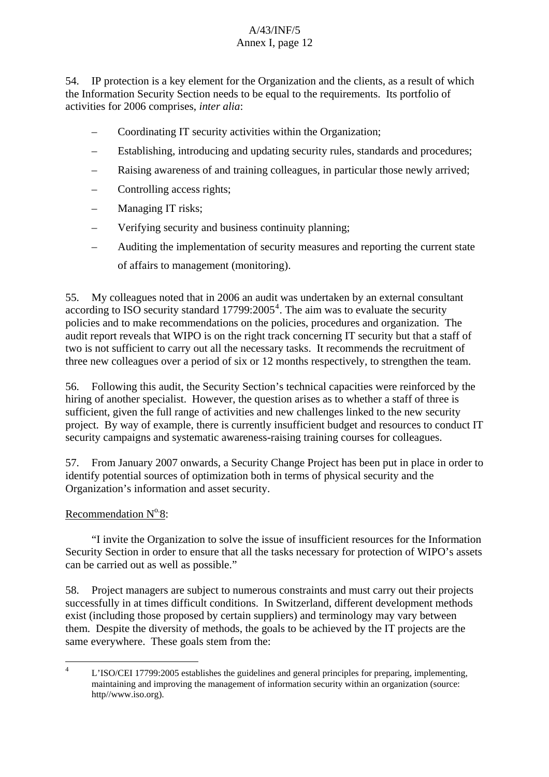54. IP protection is a key element for the Organization and the clients, as a result of which the Information Security Section needs to be equal to the requirements. Its portfolio of activities for 2006 comprises, *inter alia*:

- Coordinating IT security activities within the Organization;
- Establishing, introducing and updating security rules, standards and procedures;
- Raising awareness of and training colleagues, in particular those newly arrived;
- Controlling access rights;
- Managing IT risks;
- Verifying security and business continuity planning;
- Auditing the implementation of security measures and reporting the current state of affairs to management (monitoring).

audit report reveals that WIPO is on the right track concerning IT security but that a staff of three new colleagues over a period of six or 12 months respectively, to strengthen the team. 55. My colleagues noted that in 2006 an audit was undertaken by an external consultant according to ISO security standard  $17799:2005^4$  $17799:2005^4$ . The aim was to evaluate the security policies and to make recommendations on the policies, procedures and organization. The two is not sufficient to carry out all the necessary tasks. It recommends the recruitment of

56. Following this audit, the Security Section's technical capacities were reinforced by the hiring of another specialist. However, the question arises as to whether a staff of three is sufficient, given the full range of activities and new challenges linked to the new security project. By way of example, there is currently insufficient budget and resources to conduct IT security campaigns and systematic awareness-raising training courses for colleagues.

57. From January 2007 onwards, a Security Change Project has been put in place in order to identify potential sources of optimization both in terms of physical security and the Organization's information and asset security.

## Recommendation  $N^0.8$ :

"I invite the Organization to solve the issue of insufficient resources for the Information Security Section in order to ensure that all the tasks necessary for protection of WIPO's assets can be carried out as well as possible."

58. Project managers are subject to numerous constraints and must carry out their projects successfully in at times difficult conditions. In Switzerland, different development methods exist (including those proposed by certain suppliers) and terminology may vary between them. Despite the diversity of methods, the goals to be achieved by the IT projects are the same everywhere. These goals stem from the:

<span id="page-12-0"></span> $\frac{1}{4}$  L'ISO/CEI 17799:2005 establishes the guidelines and general principles for preparing, implementing, maintaining and improving the management of information security within an organization (source: http//www.iso.org).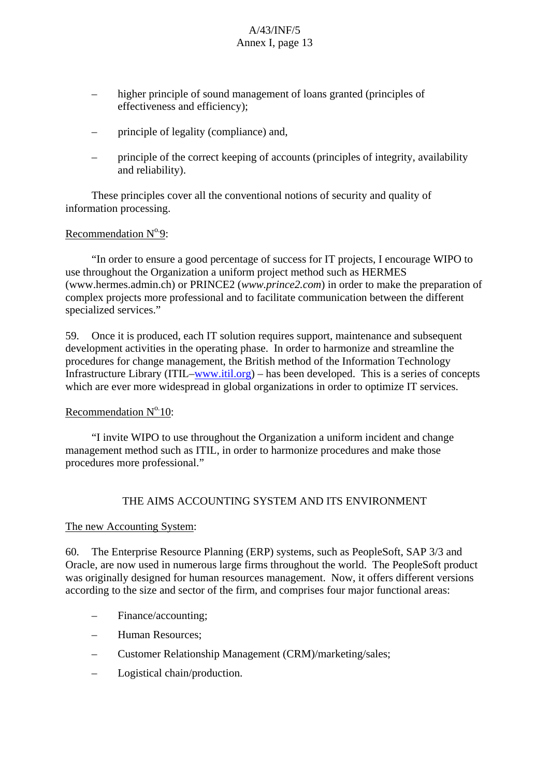- higher principle of sound management of loans granted (principles of effectiveness and efficiency);
- principle of legality (compliance) and,
- principle of the correct keeping of accounts (principles of integrity, availability and reliability).

These principles cover all the conventional notions of security and quality of information processing.

#### Recommendation  $N^0$ .9:

"In order to ensure a good percentage of success for IT projects, I encourage WIPO to use throughout the Organization a uniform project method such as HERMES ([www.hermes.admin.ch\)](http://www.hermes.admin.ch) or PRINCE2 (*[www.prince2.com](http://www.prince2.com)*) in order to make the preparation of complex projects more professional and to facilitate communication between the different specialized services."

59. Once it is produced, each IT solution requires support, maintenance and subsequent development activities in the operating phase. In order to harmonize and streamline the procedures for change management, the British method of the Information Technology Infrastructure Library (ITIL–[www.itil.org](http://www.itil.org/)) – has been developed. This is a series of concepts which are ever more widespread in global organizations in order to optimize IT services.

#### Recommendation  $N^{\circ}$  10:

"I invite WIPO to use throughout the Organization a uniform incident and change management method such as ITIL, in order to harmonize procedures and make those procedures more professional."

## THE AIMS ACCOUNTING SYSTEM AND ITS ENVIRONMENT

#### The new Accounting System:

60. The Enterprise Resource Planning (ERP) systems, such as PeopleSoft, SAP 3/3 and Oracle, are now used in numerous large firms throughout the world. The PeopleSoft product was originally designed for human resources management. Now, it offers different versions according to the size and sector of the firm, and comprises four major functional areas:

- Finance/accounting;
- Human Resources;
- Customer Relationship Management (CRM)/marketing/sales;
- Logistical chain/production.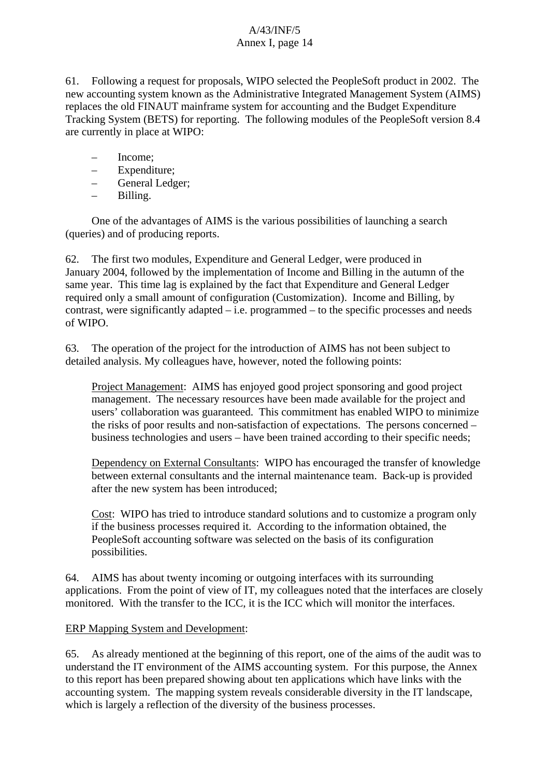61. Following a request for proposals, WIPO selected the PeopleSoft product in 2002. The new accounting system known as the Administrative Integrated Management System (AIMS) replaces the old FINAUT mainframe system for accounting and the Budget Expenditure Tracking System (BETS) for reporting. The following modules of the PeopleSoft version 8.4 are currently in place at WIPO:

- Income;
- Expenditure;
- General Ledger;
- Billing.

One of the advantages of AIMS is the various possibilities of launching a search (queries) and of producing reports.

62. The first two modules, Expenditure and General Ledger, were produced in January 2004, followed by the implementation of Income and Billing in the autumn of the same year. This time lag is explained by the fact that Expenditure and General Ledger required only a small amount of configuration (Customization). Income and Billing, by contrast, were significantly adapted  $-$  i.e. programmed  $-$  to the specific processes and needs of WIPO.

63. The operation of the project for the introduction of AIMS has not been subject to detailed analysis. My colleagues have, however, noted the following points:

Project Management: AIMS has enjoyed good project sponsoring and good project management. The necessary resources have been made available for the project and users' collaboration was guaranteed. This commitment has enabled WIPO to minimize the risks of poor results and non-satisfaction of expectations. The persons concerned – business technologies and users – have been trained according to their specific needs;

Dependency on External Consultants: WIPO has encouraged the transfer of knowledge between external consultants and the internal maintenance team. Back-up is provided after the new system has been introduced;

Cost: WIPO has tried to introduce standard solutions and to customize a program only if the business processes required it. According to the information obtained, the PeopleSoft accounting software was selected on the basis of its configuration possibilities.

64. AIMS has about twenty incoming or outgoing interfaces with its surrounding applications. From the point of view of IT, my colleagues noted that the interfaces are closely monitored. With the transfer to the ICC, it is the ICC which will monitor the interfaces.

## ERP Mapping System and Development:

65. As already mentioned at the beginning of this report, one of the aims of the audit was to understand the IT environment of the AIMS accounting system. For this purpose, the Annex to this report has been prepared showing about ten applications which have links with the accounting system. The mapping system reveals considerable diversity in the IT landscape, which is largely a reflection of the diversity of the business processes.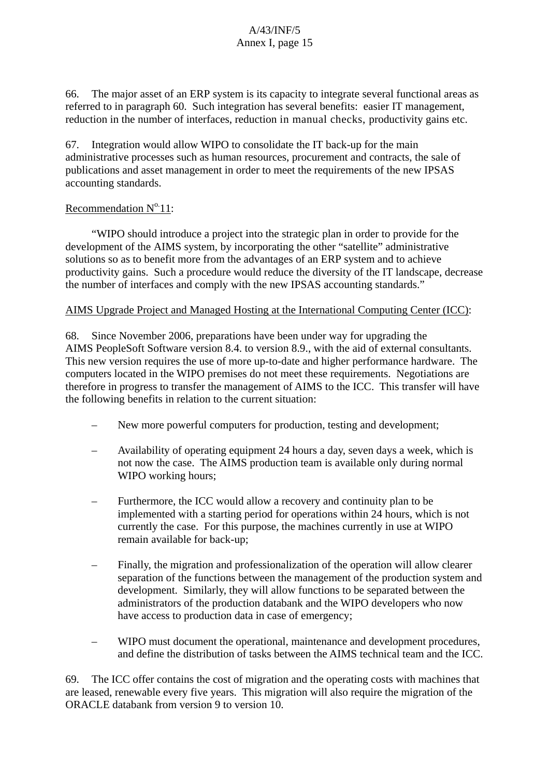66. The major asset of an ERP system is its capacity to integrate several functional areas as referred to in paragraph 60. Such integration has several benefits: easier IT management, reduction in the number of interfaces, reduction in manual checks, productivity gains etc.

67. Integration would allow WIPO to consolidate the IT back-up for the main administrative processes such as human resources, procurement and contracts, the sale of publications and asset management in order to meet the requirements of the new IPSAS accounting standards.

## Recommendation  $N^0$  11:

"WIPO should introduce a project into the strategic plan in order to provide for the development of the AIMS system, by incorporating the other "satellite" administrative solutions so as to benefit more from the advantages of an ERP system and to achieve productivity gains. Such a procedure would reduce the diversity of the IT landscape, decrease the number of interfaces and comply with the new IPSAS accounting standards."

## AIMS Upgrade Project and Managed Hosting at the International Computing Center (ICC):

68. Since November 2006, preparations have been under way for upgrading the AIMS PeopleSoft Software version 8.4. to version 8.9., with the aid of external consultants. This new version requires the use of more up-to-date and higher performance hardware. The computers located in the WIPO premises do not meet these requirements. Negotiations are therefore in progress to transfer the management of AIMS to the ICC. This transfer will have the following benefits in relation to the current situation:

- New more powerful computers for production, testing and development;
- Availability of operating equipment 24 hours a day, seven days a week, which is not now the case. The AIMS production team is available only during normal WIPO working hours;
- Furthermore, the ICC would allow a recovery and continuity plan to be implemented with a starting period for operations within 24 hours, which is not currently the case. For this purpose, the machines currently in use at WIPO remain available for back-up;
- Finally, the migration and professionalization of the operation will allow clearer separation of the functions between the management of the production system and development. Similarly, they will allow functions to be separated between the administrators of the production databank and the WIPO developers who now have access to production data in case of emergency;
- WIPO must document the operational, maintenance and development procedures, and define the distribution of tasks between the AIMS technical team and the ICC.

69. The ICC offer contains the cost of migration and the operating costs with machines that are leased, renewable every five years. This migration will also require the migration of the ORACLE databank from version 9 to version 10.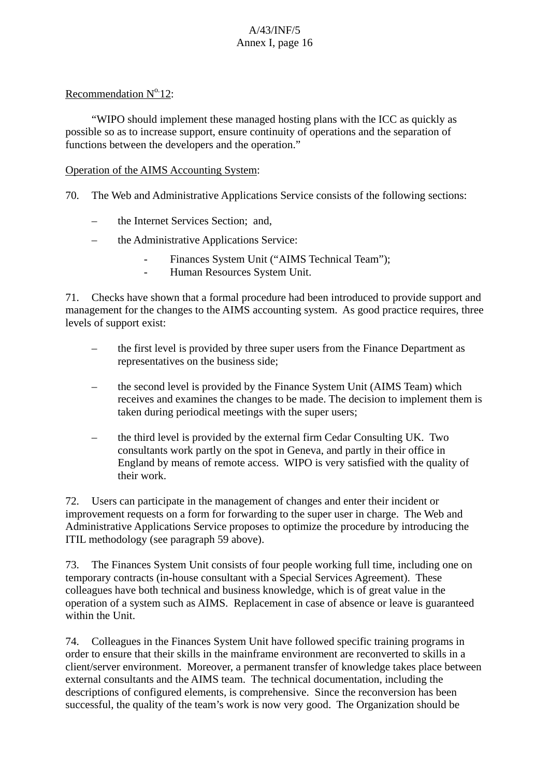#### Recommendation  $N^0$  12:

"WIPO should implement these managed hosting plans with the ICC as quickly as possible so as to increase support, ensure continuity of operations and the separation of functions between the developers and the operation."

#### Operation of the AIMS Accounting System:

- 70. The Web and Administrative Applications Service consists of the following sections:
	- the Internet Services Section; and,
	- the Administrative Applications Service:
		- Finances System Unit ("AIMS Technical Team");
		- Human Resources System Unit.

71. Checks have shown that a formal procedure had been introduced to provide support and management for the changes to the AIMS accounting system. As good practice requires, three levels of support exist:

- the first level is provided by three super users from the Finance Department as representatives on the business side;
- the second level is provided by the Finance System Unit (AIMS Team) which receives and examines the changes to be made. The decision to implement them is taken during periodical meetings with the super users;
- the third level is provided by the external firm Cedar Consulting UK. Two consultants work partly on the spot in Geneva, and partly in their office in England by means of remote access. WIPO is very satisfied with the quality of their work.

72. Users can participate in the management of changes and enter their incident or improvement requests on a form for forwarding to the super user in charge. The Web and Administrative Applications Service proposes to optimize the procedure by introducing the ITIL methodology (see paragraph 59 above).

73. The Finances System Unit consists of four people working full time, including one on temporary contracts (in-house consultant with a Special Services Agreement). These colleagues have both technical and business knowledge, which is of great value in the operation of a system such as AIMS. Replacement in case of absence or leave is guaranteed within the Unit.

74. Colleagues in the Finances System Unit have followed specific training programs in order to ensure that their skills in the mainframe environment are reconverted to skills in a client/server environment. Moreover, a permanent transfer of knowledge takes place between external consultants and the AIMS team. The technical documentation, including the descriptions of configured elements, is comprehensive. Since the reconversion has been successful, the quality of the team's work is now very good. The Organization should be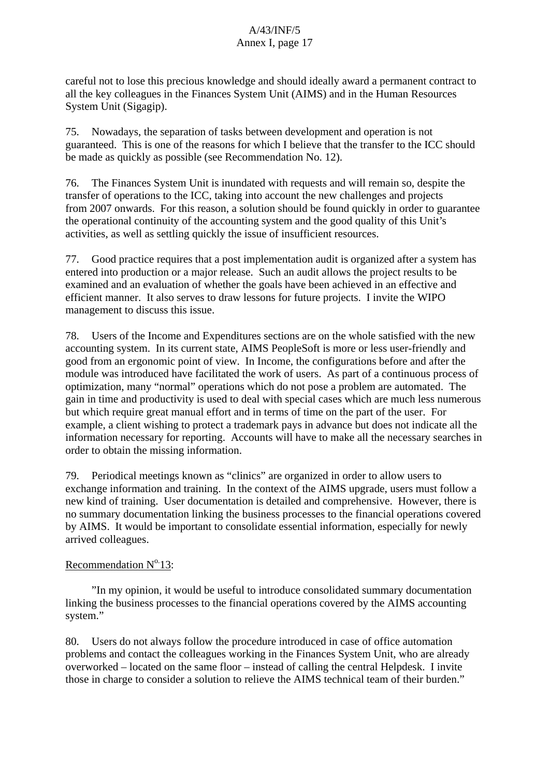careful not to lose this precious knowledge and should ideally award a permanent contract to all the key colleagues in the Finances System Unit (AIMS) and in the Human Resources System Unit (Sigagip).

75. Nowadays, the separation of tasks between development and operation is not guaranteed. This is one of the reasons for which I believe that the transfer to the ICC should be made as quickly as possible (see Recommendation No. 12).

76. The Finances System Unit is inundated with requests and will remain so, despite the transfer of operations to the ICC, taking into account the new challenges and projects from 2007 onwards. For this reason, a solution should be found quickly in order to guarantee the operational continuity of the accounting system and the good quality of this Unit's activities, as well as settling quickly the issue of insufficient resources.

77. Good practice requires that a post implementation audit is organized after a system has entered into production or a major release. Such an audit allows the project results to be examined and an evaluation of whether the goals have been achieved in an effective and efficient manner. It also serves to draw lessons for future projects. I invite the WIPO management to discuss this issue.

78. Users of the Income and Expenditures sections are on the whole satisfied with the new accounting system. In its current state, AIMS PeopleSoft is more or less user-friendly and good from an ergonomic point of view. In Income, the configurations before and after the module was introduced have facilitated the work of users. As part of a continuous process of optimization, many "normal" operations which do not pose a problem are automated. The gain in time and productivity is used to deal with special cases which are much less numerous but which require great manual effort and in terms of time on the part of the user. For example, a client wishing to protect a trademark pays in advance but does not indicate all the information necessary for reporting. Accounts will have to make all the necessary searches in order to obtain the missing information.

79. Periodical meetings known as "clinics" are organized in order to allow users to exchange information and training. In the context of the AIMS upgrade, users must follow a new kind of training. User documentation is detailed and comprehensive. However, there is no summary documentation linking the business processes to the financial operations covered by AIMS. It would be important to consolidate essential information, especially for newly arrived colleagues.

## Recommendation  $N^0.13$ :

"In my opinion, it would be useful to introduce consolidated summary documentation linking the business processes to the financial operations covered by the AIMS accounting system."

80. Users do not always follow the procedure introduced in case of office automation problems and contact the colleagues working in the Finances System Unit, who are already overworked – located on the same floor – instead of calling the central Helpdesk. I invite those in charge to consider a solution to relieve the AIMS technical team of their burden."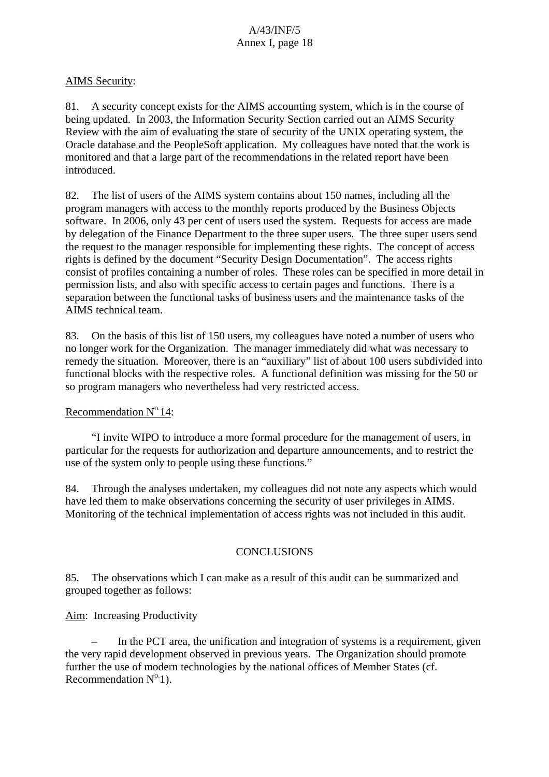#### AIMS Security:

81. A security concept exists for the AIMS accounting system, which is in the course of being updated. In 2003, the Information Security Section carried out an AIMS Security Review with the aim of evaluating the state of security of the UNIX operating system, the Oracle database and the PeopleSoft application. My colleagues have noted that the work is monitored and that a large part of the recommendations in the related report have been introduced.

82. The list of users of the AIMS system contains about 150 names, including all the program managers with access to the monthly reports produced by the Business Objects software. In 2006, only 43 per cent of users used the system. Requests for access are made by delegation of the Finance Department to the three super users. The three super users send the request to the manager responsible for implementing these rights. The concept of access rights is defined by the document "Security Design Documentation". The access rights consist of profiles containing a number of roles. These roles can be specified in more detail in permission lists, and also with specific access to certain pages and functions. There is a separation between the functional tasks of business users and the maintenance tasks of the AIMS technical team.

83. On the basis of this list of 150 users, my colleagues have noted a number of users who no longer work for the Organization. The manager immediately did what was necessary to remedy the situation. Moreover, there is an "auxiliary" list of about 100 users subdivided into functional blocks with the respective roles. A functional definition was missing for the 50 or so program managers who nevertheless had very restricted access.

#### Recommendation  $N^{\circ}$  14:

"I invite WIPO to introduce a more formal procedure for the management of users, in particular for the requests for authorization and departure announcements, and to restrict the use of the system only to people using these functions."

84. Through the analyses undertaken, my colleagues did not note any aspects which would have led them to make observations concerning the security of user privileges in AIMS. Monitoring of the technical implementation of access rights was not included in this audit.

## **CONCLUSIONS**

85. The observations which I can make as a result of this audit can be summarized and grouped together as follows:

Aim: Increasing Productivity

– In the PCT area, the unification and integration of systems is a requirement, given the very rapid development observed in previous years. The Organization should promote further the use of modern technologies by the national offices of Member States (cf. Recommendation  $N^{\circ}$ 1).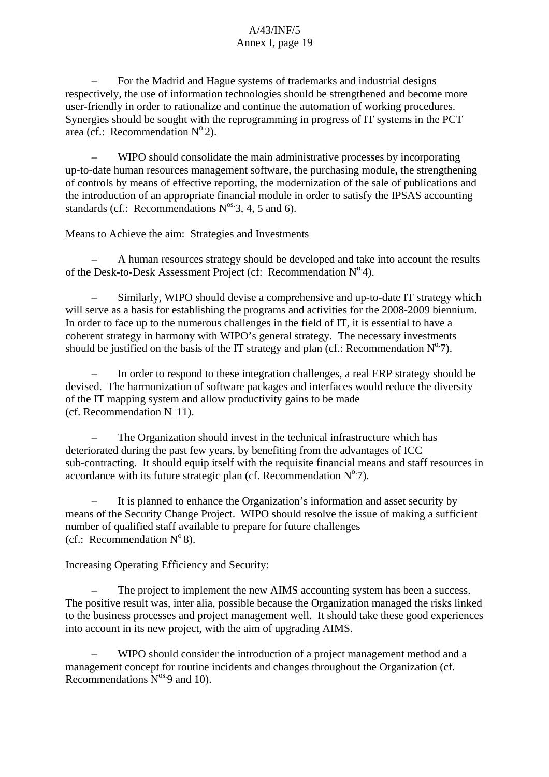– For the Madrid and Hague systems of trademarks and industrial designs respectively, the use of information technologies should be strengthened and become more user-friendly in order to rationalize and continue the automation of working procedures. Synergies should be sought with the reprogramming in progress of IT systems in the PCT area (cf.: Recommendation  $N^0$ 2).

– WIPO should consolidate the main administrative processes by incorporating up-to-date human resources management software, the purchasing module, the strengthening of controls by means of effective reporting, the modernization of the sale of publications and the introduction of an appropriate financial module in order to satisfy the IPSAS accounting standards (cf.: Recommendations  $N^{os}.3$ , 4, 5 and 6).

#### Means to Achieve the aim: Strategies and Investments

– A human resources strategy should be developed and take into account the results of the Desk-to-Desk Assessment Project (cf: Recommendation  $N^0$ 4).

– Similarly, WIPO should devise a comprehensive and up-to-date IT strategy which will serve as a basis for establishing the programs and activities for the 2008-2009 biennium. In order to face up to the numerous challenges in the field of IT, it is essential to have a coherent strategy in harmony with WIPO's general strategy. The necessary investments should be justified on the basis of the IT strategy and plan (cf.: Recommendation  $N^{\circ}$ 7).

– In order to respond to these integration challenges, a real ERP strategy should be devised. The harmonization of software packages and interfaces would reduce the diversity of the IT mapping system and allow productivity gains to be made  $(cf.$  Recommendation N 11).

– The Organization should invest in the technical infrastructure which has deteriorated during the past few years, by benefiting from the advantages of ICC sub-contracting. It should equip itself with the requisite financial means and staff resources in accordance with its future strategic plan (cf. Recommendation  $N^{\circ}$ 7).

– It is planned to enhance the Organization's information and asset security by means of the Security Change Project. WIPO should resolve the issue of making a sufficient number of qualified staff available to prepare for future challenges (cf.: Recommendation  $N^{\circ}$ 8).

## Increasing Operating Efficiency and Security:

The project to implement the new AIMS accounting system has been a success. The positive result was, inter alia, possible because the Organization managed the risks linked to the business processes and project management well. It should take these good experiences into account in its new project, with the aim of upgrading AIMS.

– WIPO should consider the introduction of a project management method and a management concept for routine incidents and changes throughout the Organization (cf. Recommendations  $N^{os.}9$  and 10).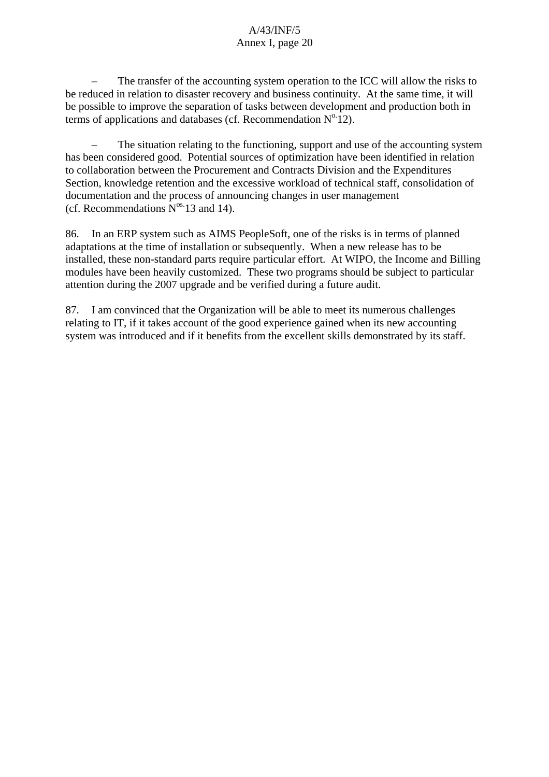– The transfer of the accounting system operation to the ICC will allow the risks to be reduced in relation to disaster recovery and business continuity. At the same time, it will be possible to improve the separation of tasks between development and production both in terms of applications and databases (cf. Recommendation  $N^0$  12).

– The situation relating to the functioning, support and use of the accounting system has been considered good. Potential sources of optimization have been identified in relation to collaboration between the Procurement and Contracts Division and the Expenditures Section, knowledge retention and the excessive workload of technical staff, consolidation of documentation and the process of announcing changes in user management (cf. Recommendations  $N^{\text{os}}$  13 and 14).

86. In an ERP system such as AIMS PeopleSoft, one of the risks is in terms of planned adaptations at the time of installation or subsequently. When a new release has to be installed, these non-standard parts require particular effort. At WIPO, the Income and Billing modules have been heavily customized. These two programs should be subject to particular attention during the 2007 upgrade and be verified during a future audit.

87. I am convinced that the Organization will be able to meet its numerous challenges relating to IT, if it takes account of the good experience gained when its new accounting system was introduced and if it benefits from the excellent skills demonstrated by its staff.